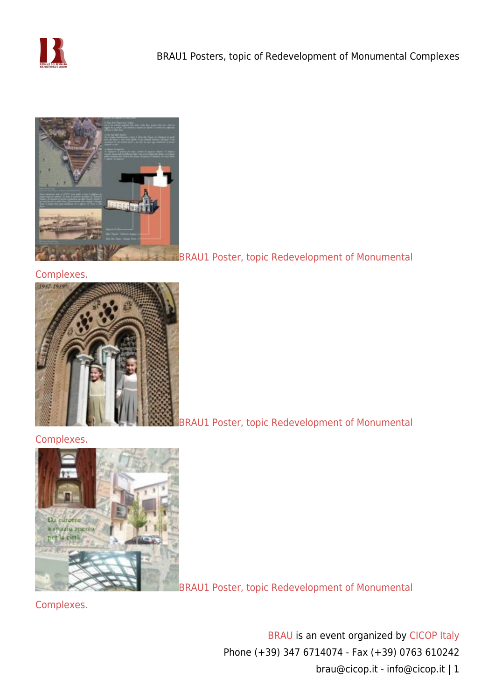



# [Complexes.](https://www.cicop.it/brau/wp-content/uploads/2017/11/Punta_della_Dogana.bis_.rid_.jpg)



[BRAU1 Poster, topic Redevelopment of Monumental](https://www.cicop.it/brau/wp-content/uploads/2017/11/palazzo_del_popolo_orvieto.rid_.jpg)

# [Complexes.](https://www.cicop.it/brau/wp-content/uploads/2017/11/palazzo_del_popolo_orvieto.rid_.jpg)



[BRAU1 Poster, topic Redevelopment of Monumental](https://www.cicop.it/brau/wp-content/uploads/2017/11/LeMurate.rid_.jpg)

[Complexes.](https://www.cicop.it/brau/wp-content/uploads/2017/11/LeMurate.rid_.jpg)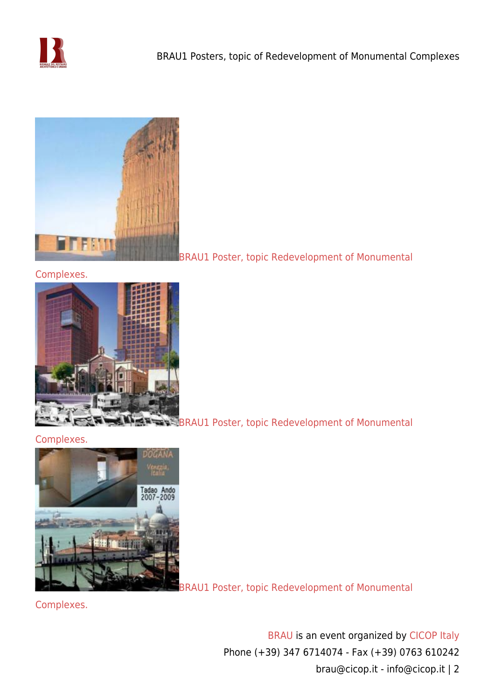



[Complexes.](https://www.cicop.it/brau/wp-content/uploads/2017/11/Parco_suoni.rid_.jpg)



**[BRAU1 Poster, topic Redevelopment of Monumental](https://www.cicop.it/brau/wp-content/uploads/2017/11/plaza_juarez.rid_.jpg)** 

# [Complexes.](https://www.cicop.it/brau/wp-content/uploads/2017/11/plaza_juarez.rid_.jpg)



[BRAU1 Poster, topic Redevelopment of Monumental](https://www.cicop.it/brau/wp-content/uploads/2017/11/Punta_della_Dogana.rid_.jpg)

[Complexes.](https://www.cicop.it/brau/wp-content/uploads/2017/11/Punta_della_Dogana.rid_.jpg)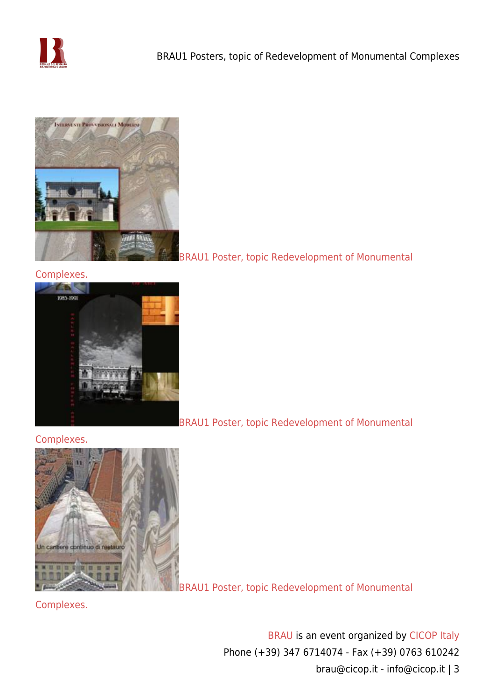



#### [Complexes.](https://www.cicop.it/brau/wp-content/uploads/2017/11/S.Maria_Collemaggio_LAquila.rid_.jpg)



[BRAU1 Poster, topic Redevelopment of Monumental](https://www.cicop.it/brau/wp-content/uploads/2017/11/Sakler_Gal.rid_.jpg)

#### [Complexes.](https://www.cicop.it/brau/wp-content/uploads/2017/11/Sakler_Gal.rid_.jpg)



[BRAU1 Poster, topic Redevelopment of Monumental](https://www.cicop.it/brau/wp-content/uploads/2017/11/Santa_M.Fiore_.rid_.jpg)

[Complexes.](https://www.cicop.it/brau/wp-content/uploads/2017/11/Santa_M.Fiore_.rid_.jpg)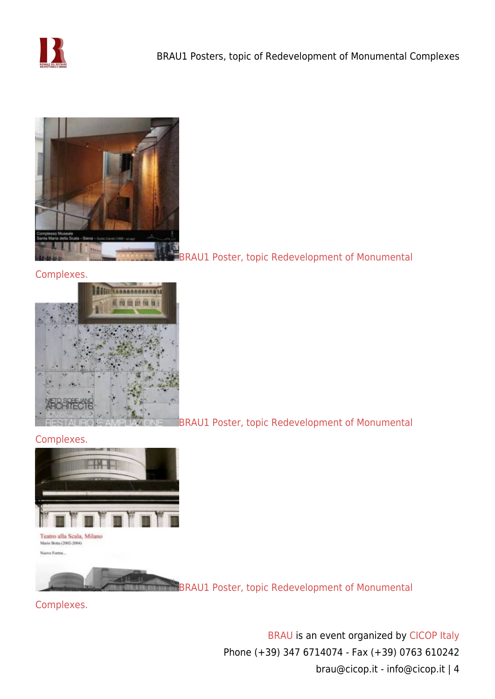



#### [Complexes.](https://www.cicop.it/brau/wp-content/uploads/2017/11/santa_maria_della_scala.rid_.jpg)



[BRAU1 Poster, topic Redevelopment of Monumental](https://www.cicop.it/brau/wp-content/uploads/2017/11/SanTelmo.rid_.jpg)

#### [Complexes.](https://www.cicop.it/brau/wp-content/uploads/2017/11/SanTelmo.rid_.jpg)



[BRAU1 Poster, topic Redevelopment of Monumental](https://www.cicop.it/brau/wp-content/uploads/2017/11/Teatro_Scala_Milano_Botta.rid_.jpg)

# [Complexes.](https://www.cicop.it/brau/wp-content/uploads/2017/11/Teatro_Scala_Milano_Botta.rid_.jpg)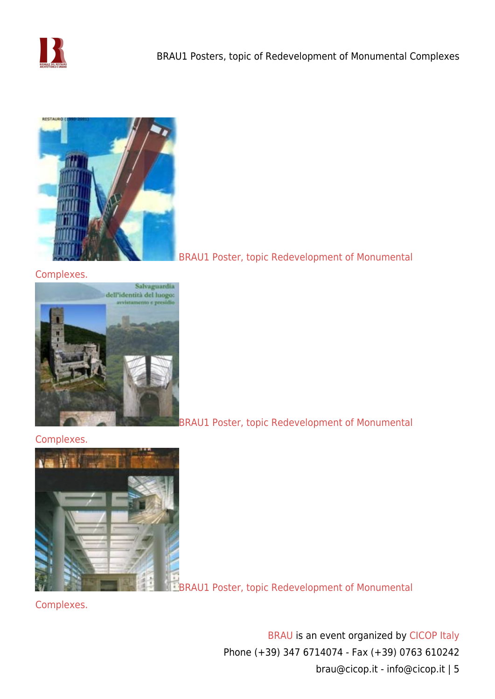



#### [Complexes.](https://www.cicop.it/brau/wp-content/uploads/2017/11/torre_di_pisa.rid_.jpg)



[BRAU1 Poster, topic Redevelopment of Monumental](https://www.cicop.it/brau/wp-content/uploads/2017/11/torre_di_pisa.rid_.jpg)

[BRAU1 Poster, topic Redevelopment of Monumental](https://www.cicop.it/brau/wp-content/uploads/2017/11/AbbaziaSanRabano.rid_.jpg)

# [Complexes.](https://www.cicop.it/brau/wp-content/uploads/2017/11/AbbaziaSanRabano.rid_.jpg)



**[BRAU1 Poster, topic Redevelopment of Monumental](https://www.cicop.it/brau/wp-content/uploads/2017/11/Ara_Pacis.rid_.jpg)** 

[Complexes.](https://www.cicop.it/brau/wp-content/uploads/2017/11/Ara_Pacis.rid_.jpg)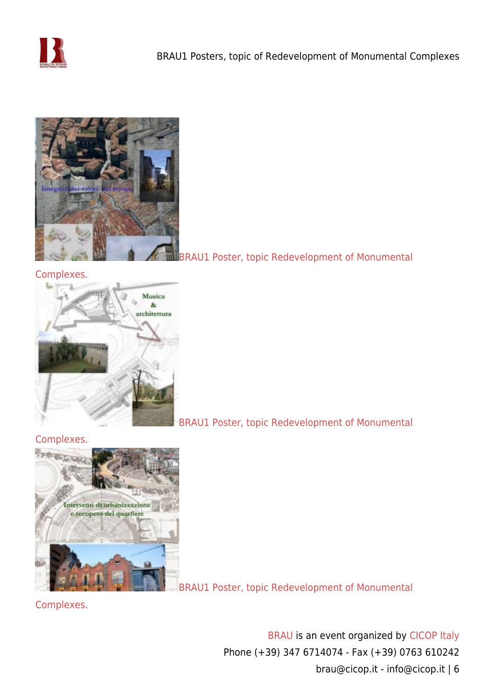



#### [Complexes.](https://www.cicop.it/brau/wp-content/uploads/2017/11/CatedraldeVitoria.rid_.jpg)



[BRAU1 Poster, topic Redevelopment of Monumental](https://www.cicop.it/brau/wp-content/uploads/2017/11/Fortezza_Grifalco_Cortona.rid_.jpg)

# [Complexes.](https://www.cicop.it/brau/wp-content/uploads/2017/11/Fortezza_Grifalco_Cortona.rid_.jpg)



[BRAU1 Poster, topic Redevelopment of Monumental](https://www.cicop.it/brau/wp-content/uploads/2017/10/TeatroRomanoCartagena-RafaelMONEO_1.rid_.jpg)

[Complexes.](https://www.cicop.it/brau/wp-content/uploads/2017/10/TeatroRomanoCartagena-RafaelMONEO_1.rid_.jpg)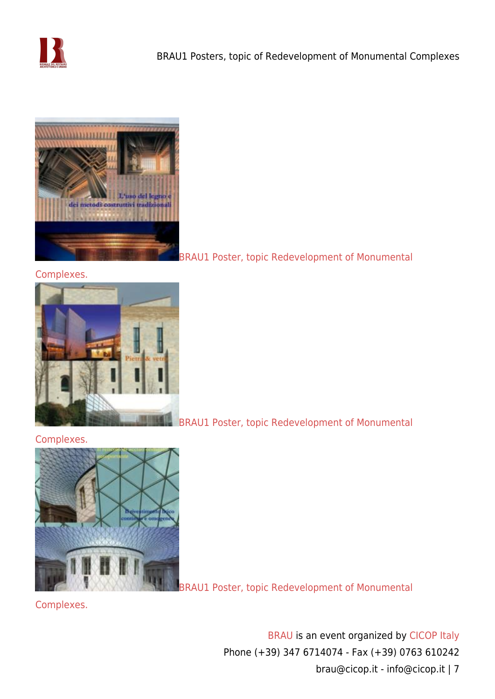



#### [Complexes.](https://www.cicop.it/brau/wp-content/uploads/2017/10/TempioBuddista-TadaoANDO_1.rid_.jpg)



[BRAU1 Poster, topic Redevelopment of Monumental](https://www.cicop.it/brau/wp-content/uploads/2017/10/ArchivioNavarra-RafaelMONEO-1.jpg)

# [Complexes.](https://www.cicop.it/brau/wp-content/uploads/2017/10/ArchivioNavarra-RafaelMONEO-1.jpg)



[BRAU1 Poster, topic Redevelopment of Monumental](https://www.cicop.it/brau/wp-content/uploads/2017/10/BritishMuseum-NormanFOSTER.rid_.jpg)

[Complexes.](https://www.cicop.it/brau/wp-content/uploads/2017/10/BritishMuseum-NormanFOSTER.rid_.jpg)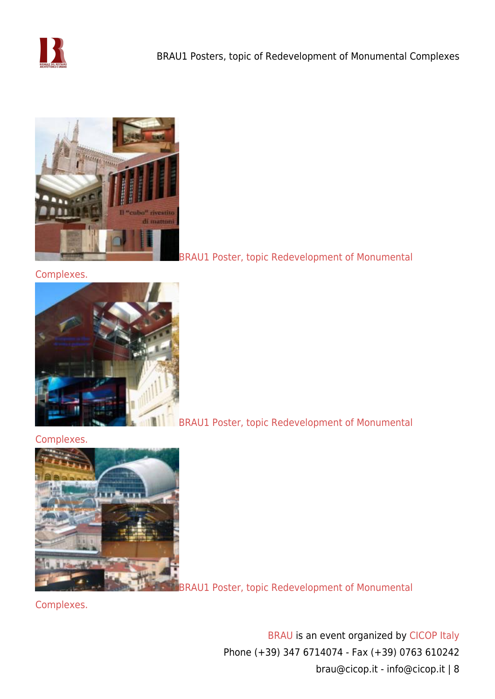



[Complexes.](https://www.cicop.it/brau/wp-content/uploads/2017/10/MuseoPrado-RafaelMONEO-1.jpg)



[BRAU1 Poster, topic Redevelopment of Monumental](https://www.cicop.it/brau/wp-content/uploads/2017/10/MuseoReinaSofia-JeanNOUVEL_1.jpg)

#### [Complexes.](https://www.cicop.it/brau/wp-content/uploads/2017/10/MuseoReinaSofia-JeanNOUVEL_1.jpg)



[BRAU1 Poster, topic Redevelopment of Monumental](https://www.cicop.it/brau/wp-content/uploads/2017/10/OperaLione-JeanNOUVEL.rid_.jpg)

[Complexes.](https://www.cicop.it/brau/wp-content/uploads/2017/10/OperaLione-JeanNOUVEL.rid_.jpg)